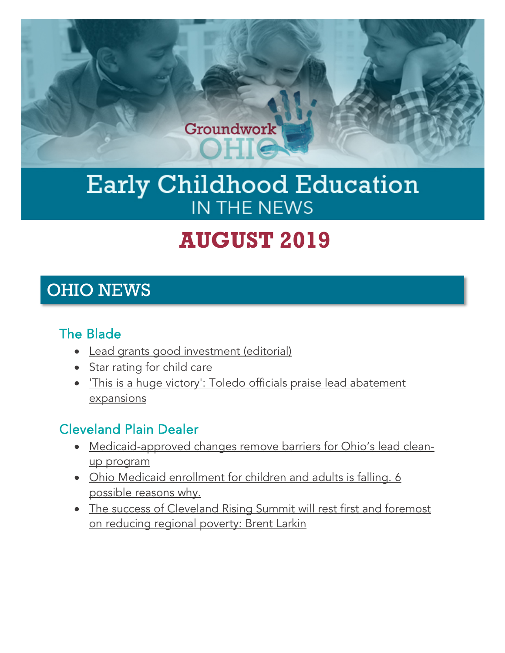

# Early Childhood Education IN THE NEWS

# **AUGUST 2019**

### OHIO NEWS

#### The Blade

- [Lead grants good investment \(editorial\)](https://www.toledoblade.com/opinion/editorials/2019/09/01/lead-grants-good-investment-ohio-governor-mike-dewine-toledo/stories/20190823185)
- [Star rating for child care](https://www.toledoblade.com/opinion/editorials/2019/08/19/star-rating-for-child-care-ohio-education/stories/20190814142)
- ['This is a huge victory': Toledo officials praise lead abatement](https://www.toledoblade.com/local/politics/2019/08/20/toledo-officials-appraise-ohio-lead-abatement-expansions/stories/20190820176)  [expansions](https://www.toledoblade.com/local/politics/2019/08/20/toledo-officials-appraise-ohio-lead-abatement-expansions/stories/20190820176)

#### Cleveland Plain Dealer

- [Medicaid-approved changes remove barriers for Ohio's lead clean](https://www.cleveland.com/metro/2019/08/medicaid-approved-changes-remove-barriers-for-ohios-lead-clean-up-program.html)[up program](https://www.cleveland.com/metro/2019/08/medicaid-approved-changes-remove-barriers-for-ohios-lead-clean-up-program.html)
- Ohio Medicaid enrollment for children and adults is falling. 6 [possible reasons why.](https://expo.cleveland.com/news/g66l-2019/08/e60a5646553361/ohio-medicaid-enrollment-for-children-and-adults-is-falling-6-possible-reasons-why.html)
- [The success of Cleveland Rising Summit will rest first and foremost](https://www.cleveland.com/opinion/2019/08/the-success-of-cleveland-rising-summit-will-rest-first-and-foremost-on-reducing-regional-poverty-brent-larkin.html)  [on reducing regional poverty: Brent Larkin](https://www.cleveland.com/opinion/2019/08/the-success-of-cleveland-rising-summit-will-rest-first-and-foremost-on-reducing-regional-poverty-brent-larkin.html)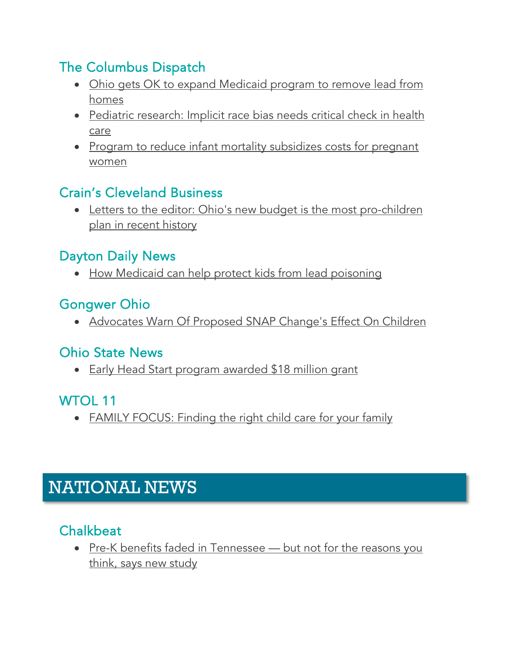#### The Columbus Dispatch

- [Ohio gets OK to expand Medicaid program to remove lead from](https://www.dispatch.com/news/20190821/ohio-gets-ok-to-expand-medicaid-program-to-remove-lead-from-homes)  [homes](https://www.dispatch.com/news/20190821/ohio-gets-ok-to-expand-medicaid-program-to-remove-lead-from-homes)
- [Pediatric research: Implicit race bias needs critical check in health](https://www.dispatch.com/news/20190728/pediatric-research-implicit-race-bias-needs-critical-check-in-health-care?eType=EmailBlastContent&eId=0c35b7c3-123e-4237-8595-f412b0120856)  [care](https://www.dispatch.com/news/20190728/pediatric-research-implicit-race-bias-needs-critical-check-in-health-care?eType=EmailBlastContent&eId=0c35b7c3-123e-4237-8595-f412b0120856)
- Program to reduce infant mortality subsidizes costs for pregnant [women](https://www.dispatch.com/news/20190810/program-to-reduce-infant-mortality-subsidizes-costs-for-pregnant-women)

#### Crain's Cleveland Business

• [Letters to the editor: Ohio's new budget is the most pro-children](https://www.crainscleveland.com/letters-editor/letters-editor-ohios-new-budget-most-pro-children-plan-recent-history)  [plan in recent history](https://www.crainscleveland.com/letters-editor/letters-editor-ohios-new-budget-most-pro-children-plan-recent-history)

#### Dayton Daily News

• [How Medicaid can help protect kids from lead poisoning](https://www.daytondailynews.com/news/state--regional/rule-changes-help-ohio-fight-lead-poisoning/LFtevPnxdNiDl04Fo3YDUM/)

#### Gongwer Ohio

• [Advocates Warn Of Proposed SNAP Change's Effect On Children](https://www.gongwer-oh.com/programming/news.cfm?article_id=881650203)

#### Ohio State News

• [Early Head Start program awarded \\$18 million grant](https://news.osu.edu/early-head-start-program-awarded-18-million-grant/)

#### WTOL 11

• [FAMILY FOCUS: Finding the right child care for your family](https://www.wtol.com/article/news/family-focus-finding-the-right-child-care-for-your-family/512-6a48e1c1-8757-4185-9e30-afefe5a6cc0f)

## NATIONAL NEWS

### **Chalkbeat**

• Pre-K benefits faded in Tennessee - but not for the reasons you [think, says new study](https://www.chalkbeat.org/posts/tn/2019/08/02/pre-k-benefits-faded-in-tennessee-but-not-for-the-reasons-you-think-says-new-study/)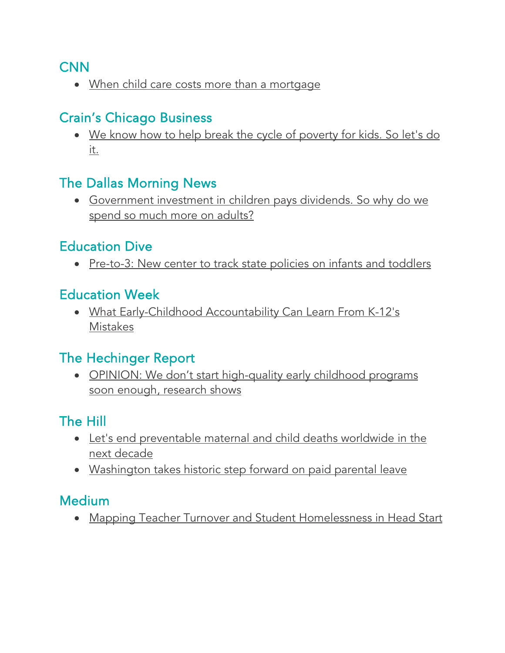#### CNN

• [When child care costs more than a mortgage](https://www.cnn.com/2019/08/29/success/high-child-care-costs/index.html)

#### Crain's Chicago Business

• [We know how to help break the cycle of poverty for kids. So let's do](https://www.chicagobusiness.com/opinion/we-know-how-help-break-cycle-poverty-kids-so-lets-do-it?utm_source=The+Heckman+Equation&utm_campaign=3450545bf0-EMAIL_CAMPAIGN_2019_08_23_01_40&utm_medium=email&utm_term=0_861cad7111-3450545bf0-487127425)  [it.](https://www.chicagobusiness.com/opinion/we-know-how-help-break-cycle-poverty-kids-so-lets-do-it?utm_source=The+Heckman+Equation&utm_campaign=3450545bf0-EMAIL_CAMPAIGN_2019_08_23_01_40&utm_medium=email&utm_term=0_861cad7111-3450545bf0-487127425) 

#### The Dallas Morning News

• [Government investment in children pays dividends. So why do we](https://www.dallasnews.com/opinion/commentary/2019/08/04/government-investment-in-children-pays-dividends-so-why-do-we-spend-so-much-more-on-adults/?utm_source=FFYF+Master+List&utm_campaign=236c50eda0-EMAIL_CAMPAIGN_10_4_2018_14_43_COPY_01&utm_medium=email&utm_term=0_5f24375a4f-236c50eda0-304332493&mc_cid=236c50eda0&mc_eid=6d443f3602)  [spend so much more on adults?](https://www.dallasnews.com/opinion/commentary/2019/08/04/government-investment-in-children-pays-dividends-so-why-do-we-spend-so-much-more-on-adults/?utm_source=FFYF+Master+List&utm_campaign=236c50eda0-EMAIL_CAMPAIGN_10_4_2018_14_43_COPY_01&utm_medium=email&utm_term=0_5f24375a4f-236c50eda0-304332493&mc_cid=236c50eda0&mc_eid=6d443f3602)

#### Education Dive

• [Pre-to-3: New center to track state policies on infants and toddlers](https://www.educationdive.com/news/pre-to-3-new-center-to-track-state-policies-on-infants-and-toddlers/560447/)

#### Education Week

• [What Early-Childhood Accountability Can Learn From K-12's](https://www.edweek.org/ew/articles/2019/08/28/what-early-childhood-accountability-can-learn-from-k-12s.html?cmp=eml-enl-eu-news2&M=58918456&U=2887273&UUID=76c1c4ed99c1127d774a6e6e361e7941)  [Mistakes](https://www.edweek.org/ew/articles/2019/08/28/what-early-childhood-accountability-can-learn-from-k-12s.html?cmp=eml-enl-eu-news2&M=58918456&U=2887273&UUID=76c1c4ed99c1127d774a6e6e361e7941)

#### The Hechinger Report

• OPINION: We don't start high-quality early childhood programs [soon enough, research shows](https://hechingerreport.org/opinion-we-dont-start-high-quality-early-childhood-programs-soon-enough-research-shows/)

#### The Hill

- [Let's end preventable maternal and child deaths worldwide in the](https://thehill.com/blogs/congress-blog/foreign-policy/458969-lets-end-preventable-maternal-and-child-deaths-worldwide)  [next decade](https://thehill.com/blogs/congress-blog/foreign-policy/458969-lets-end-preventable-maternal-and-child-deaths-worldwide)
- [Washington takes historic step forward on paid parental leave](https://thehill.com/opinion/civil-rights/456213-washington-takes-historic-step-forward-on-paid-parental-leave?utm_source=FFYF+Master+List&utm_campaign=236c50eda0-EMAIL_CAMPAIGN_10_4_2018_14_43_COPY_01&utm_medium=email&utm_term=0_5f24375a4f-236c50eda0-304332493&mc_cid=236c50eda0&mc_eid=6d443f3602)

#### Medium

• [Mapping Teacher Turnover and Student Homelessness in Head Start](https://medium.com/@NatlHeadStart/mapping-teacher-turnover-and-student-homelessness-in-head-start-7b1d10509046)